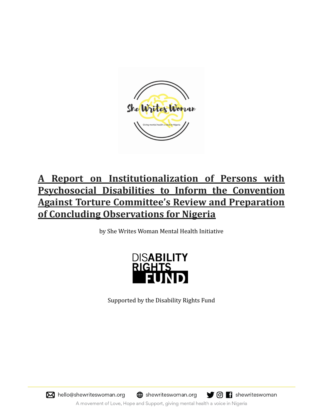

# **A Report on Institutionalization of Persons with Psychosocial Disabilities to Inform the Convention Against Torture Committee's Review and Preparation of Concluding Observations for Nigeria**

by She Writes Woman Mental Health Initiative



Supported by the Disability Rights Fund



**th** shewriteswoman.org



A movement of Love, Hope and Support, giving mental health a voice in Nigeria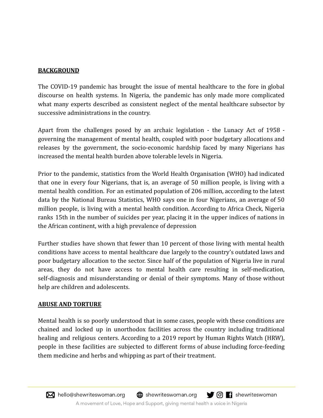### **BACKGROUND**

The COVID-19 pandemic has brought the issue of mental healthcare to the fore in global discourse on health systems. In Nigeria, the pandemic has only made more complicated what many experts described as consistent neglect of the mental healthcare subsector by successive administrations in the country.

Apart from the challenges posed by an archaic legislation - the Lunacy Act of 1958 governing the management of mental health, coupled with poor budgetary allocations and releases by the government, the socio-economic hardship faced by many Nigerians has increased the mental health burden above tolerable levels in Nigeria.

Prior to the pandemic, statistics from the World Health Organisation (WHO) had indicated that one in every four Nigerians, that is, an average of 50 million people, is living with a mental health condition. For an estimated population of 206 million, according to the latest data by the National Bureau Statistics, WHO says one in four Nigerians, an average of 50 million people, is living with a mental health condition. According to Africa Check, Nigeria ranks 15th in the number of suicides per year, placing it in the upper indices of nations in the African continent, with a high prevalence of depression

Further studies have shown that fewer than 10 percent of those living with mental health conditions have access to mental healthcare due largely to the country's outdated laws and poor budgetary allocation to the sector. Since half of the population of Nigeria live in rural areas, they do not have access to mental health care resulting in self-medication, self-diagnosis and misunderstanding or denial of their symptoms. Many of those without help are children and adolescents.

#### **ABUSE AND TORTURE**

Mental health is so poorly understood that in some cases, people with these conditions are chained and locked up in unorthodox facilities across the country including traditional healing and religious centers. According to a 2019 report by Human Rights Watch (HRW), people in these facilities are subjected to different forms of abuse including force-feeding them medicine and herbs and whipping as part of their treatment.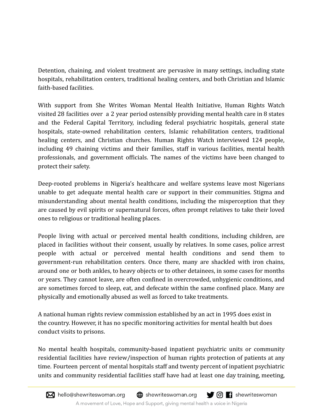Detention, chaining, and violent treatment are pervasive in many settings, including state hospitals, rehabilitation centers, traditional healing centers, and both Christian and Islamic faith-based facilities.

With support from She Writes Woman Mental Health Initiative, Human Rights Watch visited 28 facilities over a 2 year period ostensibly providing mental health care in 8 states and the Federal Capital Territory, including federal psychiatric hospitals, general state hospitals, state-owned rehabilitation centers, Islamic rehabilitation centers, traditional healing centers, and Christian churches. Human Rights Watch interviewed 124 people, including 49 chaining victims and their families, staff in various facilities, mental health professionals, and government officials. The names of the victims have been changed to protect their safety.

Deep-rooted problems in Nigeria's healthcare and welfare systems leave most Nigerians unable to get adequate mental health care or support in their communities. Stigma and misunderstanding about mental health conditions, including the misperception that they are caused by evil spirits or supernatural forces, often prompt relatives to take their loved ones to religious or traditional healing places.

People living with actual or perceived mental health conditions, including children, are placed in facilities without their consent, usually by relatives. In some cases, police arrest people with actual or perceived mental health conditions and send them to government-run rehabilitation centers. Once there, many are shackled with iron chains, around one or both ankles, to heavy objects or to other detainees, in some cases for months or years. They cannot leave, are often confined in overcrowded, unhygienic conditions, and are sometimes forced to sleep, eat, and defecate within the same confined place. Many are physically and emotionally abused as well as forced to take treatments.

A national human rights review commission established by an act in 1995 does exist in the country. However, it has no specific monitoring activities for mental health but does conduct visits to prisons.

No mental health hospitals, community-based inpatient psychiatric units or community residential facilities have review/inspection of human rights protection of patients at any time. Fourteen percent of mental hospitals staff and twenty percent of inpatient psychiatric units and community residential facilities staff have had at least one day training, meeting,

A movement of Love, Hope and Support, giving mental health a voice in Nigeria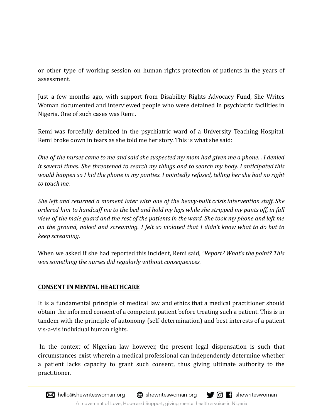or other type of working session on human rights protection of patients in the years of assessment.

Just a few months ago, with support from Disability Rights Advocacy Fund, She Writes Woman documented and interviewed people who were detained in psychiatric facilities in Nigeria. One of such cases was Remi.

Remi was forcefully detained in the psychiatric ward of a University Teaching Hospital. Remi broke down in tears as she told me her story. This is what she said:

One of the nurses came to me and said she suspected my mom had given me a phone. I denied *it several times. She threatened to search my things and to search my body. I anticipated this* would happen so I hid the phone in my panties. I pointedly refused, telling her she had no right *to touch me.*

*She left and returned a moment later with one of the heavy-built crisis intervention staff. She* ordered him to handcuff me to the bed and hold my leas while she stripped my pants off, in full yiew of the male quard and the rest of the patients in the ward. She took my phone and left me *on the ground, naked and screaming. I felt so violated that I didn't know what to do but to keep screaming.*

When we asked if she had reported this incident, Remi said, *"Report? What's the point? This was something the nurses did regularly without consequences.*

## **CONSENT IN MENTAL HEALTHCARE**

It is a fundamental principle of medical law and ethics that a medical practitioner should obtain the informed consent of a competent patient before treating such a patient. This is in tandem with the principle of autonomy (self-determination) and best interests of a patient vis-a-vis individual human rights.

In the context of NIgerian law however, the present legal dispensation is such that circumstances exist wherein a medical professional can independently determine whether a patient lacks capacity to grant such consent, thus giving ultimate authority to the practitioner.

M hello@shewriteswoman.org  $\bigoplus$  shewriteswoman.org O G shewriteswoman

A movement of Love, Hope and Support, giving mental health a voice in Nigeria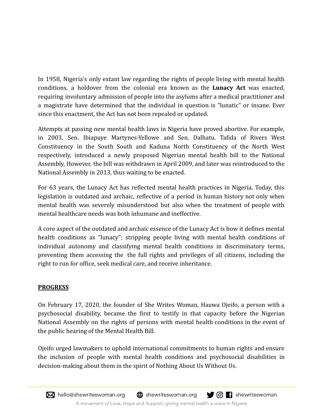In 1958, Nigeria's only extant law regarding the rights of people living with mental health conditions, a holdover from the colonial era known as the **Lunacy Act** was enacted, requiring involuntary admission of people into the asylums after a medical practitioner and a magistrate have determined that the individual in question is "lunatic" or insane. Ever since this enactment, the Act has not been repealed or updated.

Attempts at passing new mental health laws in Nigeria have proved abortive. For example, in 2003, Sen. Ibiapuye Martynes-Yellowe and Sen. Dalhatu. Tafida of Rivers West Constituency in the South South and Kaduna North Constituency of the North West respectively, introduced a newly proposed Nigerian mental health bill to the National Assembly, However, the bill was withdrawn in April 2009, and later was reintroduced to the National Assembly in 2013, thus waiting to be enacted.

For 63 years, the Lunacy Act has reflected mental health practices in Nigeria. Today, this legislation is outdated and archaic, reflective of a period in human history not only when mental health was severely misunderstood but also when the treatment of people with mental healthcare needs was both inhumane and ineffective.

A core aspect of the outdated and archaic essence of the Lunacy Act is how it defines mental health conditions as "lunacy"; stripping people living with mental health conditions of individual autonomy and classifying mental health conditions in discriminatory terms, preventing them accessing the the full rights and privileges of all citizens, including the right to run for office, seek medical care, and receive inheritance.

# **PROGRESS**

On February 17, 2020, the founder of She Writes Woman, Hauwa Ojeifo, a person with a psychosocial disability, became the first to testify in that capacity before the Nigerian National Assembly on the rights of persons with mental health conditions in the event of the public hearing of the Mental Health Bill.

Ojeifo urged lawmakers to uphold international commitments to human rights and ensure the inclusion of people with mental health conditions and psychosocial disabilities in decision-making about them in the spirit of Nothing About Us Without Us.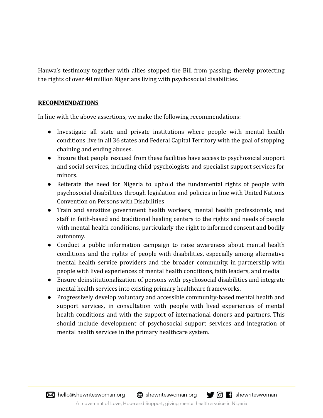Hauwa's testimony together with allies stopped the Bill from passing; thereby protecting the rights of over 40 million Nigerians living with psychosocial disabilities.

#### **RECOMMENDATIONS**

In line with the above assertions, we make the following recommendations:

- Investigate all state and private institutions where people with mental health conditions live in all 36 states and Federal Capital Territory with the goal of stopping chaining and ending abuses.
- Ensure that people rescued from these facilities have access to psychosocial support and social services, including child psychologists and specialist support services for minors.
- Reiterate the need for Nigeria to uphold the fundamental rights of people with psychosocial disabilities through legislation and policies in line with United Nations Convention on Persons with Disabilities
- Train and sensitize government health workers, mental health professionals, and staff in faith-based and traditional healing centers to the rights and needs of people with mental health conditions, particularly the right to informed consent and bodily autonomy.
- Conduct a public information campaign to raise awareness about mental health conditions and the rights of people with disabilities, especially among alternative mental health service providers and the broader community, in partnership with people with lived experiences of mental health conditions, faith leaders, and media
- Ensure deinstitutionalization of persons with psychosocial disabilities and integrate mental health services into existing primary healthcare frameworks.
- Progressively develop voluntary and accessible community-based mental health and support services, in consultation with people with lived experiences of mental health conditions and with the support of international donors and partners. This should include development of psychosocial support services and integration of mental health services in the primary healthcare system.

M hello@shewriteswoman.org  $\bigoplus$  shewriteswoman.org O G shewriteswoman A movement of Love, Hope and Support, giving mental health a voice in Nigeria